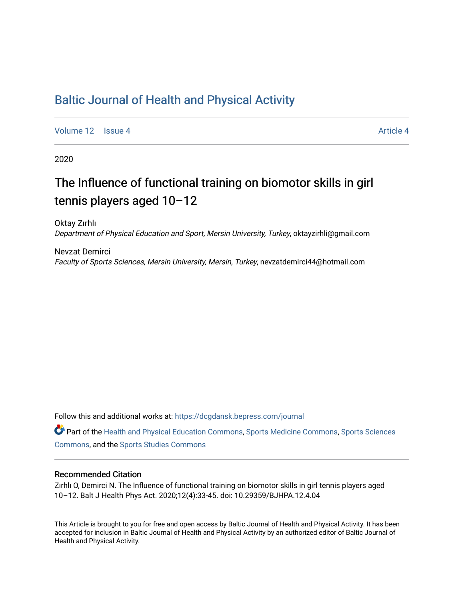# [Baltic Journal of Health and Physical Activity](https://dcgdansk.bepress.com/journal)

[Volume 12](https://dcgdansk.bepress.com/journal/vol12) | [Issue 4](https://dcgdansk.bepress.com/journal/vol12/iss4) Article 4

2020

# The Influence of functional training on biomotor skills in girl tennis players aged 10–12

Oktay Zırhlı Department of Physical Education and Sport, Mersin University, Turkey, oktayzirhli@gmail.com

Nevzat Demirci Faculty of Sports Sciences, Mersin University, Mersin, Turkey, nevzatdemirci44@hotmail.com

Follow this and additional works at: [https://dcgdansk.bepress.com/journal](https://dcgdansk.bepress.com/journal?utm_source=dcgdansk.bepress.com%2Fjournal%2Fvol12%2Fiss4%2F4&utm_medium=PDF&utm_campaign=PDFCoverPages)

Part of the [Health and Physical Education Commons](http://network.bepress.com/hgg/discipline/1327?utm_source=dcgdansk.bepress.com%2Fjournal%2Fvol12%2Fiss4%2F4&utm_medium=PDF&utm_campaign=PDFCoverPages), [Sports Medicine Commons,](http://network.bepress.com/hgg/discipline/1331?utm_source=dcgdansk.bepress.com%2Fjournal%2Fvol12%2Fiss4%2F4&utm_medium=PDF&utm_campaign=PDFCoverPages) [Sports Sciences](http://network.bepress.com/hgg/discipline/759?utm_source=dcgdansk.bepress.com%2Fjournal%2Fvol12%2Fiss4%2F4&utm_medium=PDF&utm_campaign=PDFCoverPages) [Commons](http://network.bepress.com/hgg/discipline/759?utm_source=dcgdansk.bepress.com%2Fjournal%2Fvol12%2Fiss4%2F4&utm_medium=PDF&utm_campaign=PDFCoverPages), and the [Sports Studies Commons](http://network.bepress.com/hgg/discipline/1198?utm_source=dcgdansk.bepress.com%2Fjournal%2Fvol12%2Fiss4%2F4&utm_medium=PDF&utm_campaign=PDFCoverPages) 

#### Recommended Citation

Zırhlı O, Demirci N. The Influence of functional training on biomotor skills in girl tennis players aged 10–12. Balt J Health Phys Act. 2020;12(4):33-45. doi: 10.29359/BJHPA.12.4.04

This Article is brought to you for free and open access by Baltic Journal of Health and Physical Activity. It has been accepted for inclusion in Baltic Journal of Health and Physical Activity by an authorized editor of Baltic Journal of Health and Physical Activity.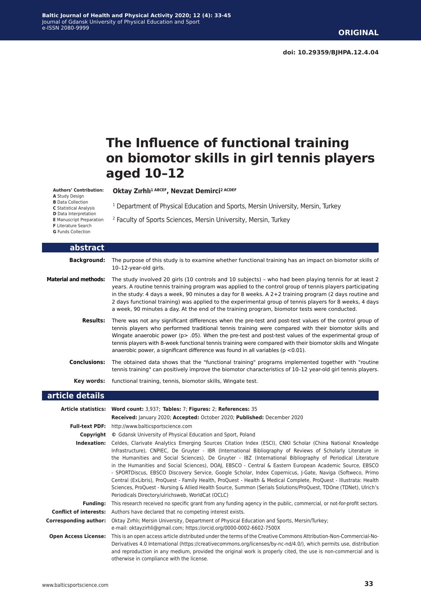**doi: 10.29359/BJHPA.12.4.04**

# **The Influence of functional training on biomotor skills in girl tennis players aged 10–12**

#### **Authors' Contribution:**

**A** Study Design

**B** Data Collection

**C** Statistical Analysis **D** Data Interpretation

**E** Manuscript Preparation

**F** Literature Search

**G** Funds Collection

<sup>1</sup> Department of Physical Education and Sports, Mersin University, Mersin, Turkey

2 Faculty of Sports Sciences, Mersin University, Mersin, Turkey

**Oktay Zırhlı1 ABCEF, Nevzat Demirci2 ACDEF**

| abstract                     |                                                                                                                                                                                                                                                                                                                                                                                                                                                                                                                                           |
|------------------------------|-------------------------------------------------------------------------------------------------------------------------------------------------------------------------------------------------------------------------------------------------------------------------------------------------------------------------------------------------------------------------------------------------------------------------------------------------------------------------------------------------------------------------------------------|
| <b>Background:</b>           | The purpose of this study is to examine whether functional training has an impact on biomotor skills of<br>10-12-year-old girls.                                                                                                                                                                                                                                                                                                                                                                                                          |
| <b>Material and methods:</b> | The study involved 20 girls (10 controls and 10 subjects) - who had been playing tennis for at least 2<br>years. A routine tennis training program was applied to the control group of tennis players participating<br>in the study: 4 days a week, 90 minutes a day for 8 weeks. $A$ 2+2 training program (2 days routine and<br>2 days functional training) was applied to the experimental group of tennis players for 8 weeks, 4 days<br>a week, 90 minutes a day. At the end of the training program, biomotor tests were conducted. |
| <b>Results:</b>              | There was not any significant differences when the pre-test and post-test values of the control group of<br>tennis players who performed traditional tennis training were compared with their biomotor skills and<br>Wingate anaerobic power ( $p > .05$ ). When the pre-test and post-test values of the experimental group of<br>tennis players with 8-week functional tennis training were compared with their biomotor skills and Wingate<br>anaerobic power, a significant difference was found in all variables ( $p < 0.01$ ).     |
| <b>Conclusions:</b>          | The obtained data shows that the "functional training" programs implemented together with "routine"<br>tennis training" can positively improve the biomotor characteristics of 10-12 year-old girl tennis players.                                                                                                                                                                                                                                                                                                                        |
| Key words:                   | functional training, tennis, biomotor skills, Wingate test.                                                                                                                                                                                                                                                                                                                                                                                                                                                                               |
| article details              |                                                                                                                                                                                                                                                                                                                                                                                                                                                                                                                                           |
|                              | Article statistics: Word count: 3,937; Tables: 7; Figures: 2; References: 35<br>Received: January 2020; Accepted: October 2020; Published: December 2020                                                                                                                                                                                                                                                                                                                                                                                  |
|                              | Full-text PDF: http://www.balticsportscience.com                                                                                                                                                                                                                                                                                                                                                                                                                                                                                          |
|                              | <b>Copyright</b> © Gdansk University of Physical Education and Sport, Poland                                                                                                                                                                                                                                                                                                                                                                                                                                                              |
|                              | Indexation: Celdes, Clarivate Analytics Emerging Sources Citation Index (ESCI), CNKI Scholar (China National Knowledge                                                                                                                                                                                                                                                                                                                                                                                                                    |

Infrastructure), CNPIEC, De Gruyter - IBR (International Bibliography of Reviews of Scholarly Literature in the Humanities and Social Sciences), De Gruyter - IBZ (International Bibliography of Periodical Literature in the Humanities and Social Sciences), DOAJ, EBSCO - Central & Eastern European Academic Source, EBSCO - SPORTDiscus, EBSCO Discovery Service, Google Scholar, Index Copernicus, J-Gate, Naviga (Softweco, Primo Central (ExLibris), ProQuest - Family Health, ProQuest - Health & Medical Complete, ProQuest - Illustrata: Health Sciences, ProQuest - Nursing & Allied Health Source, Summon (Serials Solutions/ProQuest, TDOne (TDNet), Ulrich's Periodicals Directory/ulrichsweb, WorldCat (OCLC)

**Funding:** This research received no specific grant from any funding agency in the public, commercial, or not-for-profit sectors. **Conflict of interests:** Authors have declared that no competing interest exists. **Corresponding author:** Oktay Zırhlı; Mersin University, Department of Physical Education and Sports, Mersin/Turkey;

e-mail: oktayzirhli@gmail.com; https://orcid.org/0000-0002-6602-750[0X](https://orcid.org/0000-0001-8442-270X)

**Open Access License:** This is an open access article distributed under the terms of the Creative Commons Attribution-Non-Commercial-No-Derivatives 4.0 International (https://creativecommons.org/licenses/by-nc-nd/4.0/), which permits use, distribution and reproduction in any medium, provided the original work is properly cited, the use is non-commercial and is otherwise in compliance with the license.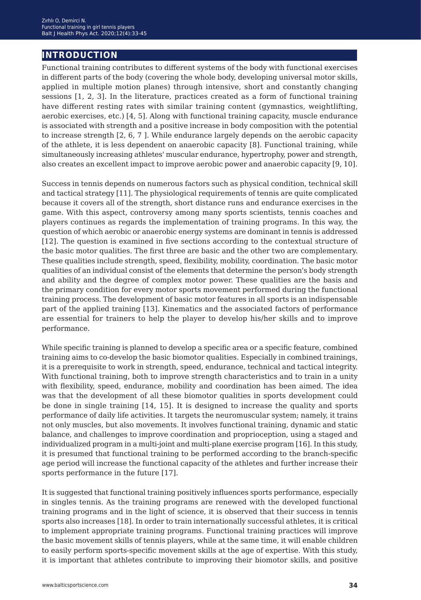# **introduction**

Functional training contributes to different systems of the body with functional exercises in different parts of the body (covering the whole body, developing universal motor skills, applied in multiple motion planes) through intensive, short and constantly changing sessions [1, 2, 3]. In the literature, practices created as a form of functional training have different resting rates with similar training content (gymnastics, weightlifting, aerobic exercises, etc.) [4, 5]. Along with functional training capacity, muscle endurance is associated with strength and a positive increase in body composition with the potential to increase strength [2, 6, 7 ]. While endurance largely depends on the aerobic capacity of the athlete, it is less dependent on anaerobic capacity [8]. Functional training, while simultaneously increasing athletes' muscular endurance, hypertrophy, power and strength, also creates an excellent impact to improve aerobic power and anaerobic capacity [9, 10].

Success in tennis depends on numerous factors such as physical condition, technical skill and tactical strategy [11]. The physiological requirements of tennis are quite complicated because it covers all of the strength, short distance runs and endurance exercises in the game. With this aspect, controversy among many sports scientists, tennis coaches and players continues as regards the implementation of training programs. In this way, the question of which aerobic or anaerobic energy systems are dominant in tennis is addressed [12]. The question is examined in five sections according to the contextual structure of the basic motor qualities. The first three are basic and the other two are complementary. These qualities include strength, speed, flexibility, mobility, coordination. The basic motor qualities of an individual consist of the elements that determine the person's body strength and ability and the degree of complex motor power. These qualities are the basis and the primary condition for every motor sports movement performed during the functional training process. The development of basic motor features in all sports is an indispensable part of the applied training [13]. Kinematics and the associated factors of performance are essential for trainers to help the player to develop his/her skills and to improve performance.

While specific training is planned to develop a specific area or a specific feature, combined training aims to co-develop the basic biomotor qualities. Especially in combined trainings, it is a prerequisite to work in strength, speed, endurance, technical and tactical integrity. With functional training, both to improve strength characteristics and to train in a unity with flexibility, speed, endurance, mobility and coordination has been aimed. The idea was that the development of all these biomotor qualities in sports development could be done in single training [14, 15]. It is designed to increase the quality and sports performance of daily life activities. It targets the neuromuscular system; namely, it trains not only muscles, but also movements. It involves functional training, dynamic and static balance, and challenges to improve coordination and proprioception, using a staged and individualized program in a multi-joint and multi-plane exercise program [16]. In this study, it is presumed that functional training to be performed according to the branch-specific age period will increase the functional capacity of the athletes and further increase their sports performance in the future [17].

It is suggested that functional training positively influences sports performance, especially in singles tennis. As the training programs are renewed with the developed functional training programs and in the light of science, it is observed that their success in tennis sports also increases [18]. In order to train internationally successful athletes, it is critical to implement appropriate training programs. Functional training practices will improve the basic movement skills of tennis players, while at the same time, it will enable children to easily perform sports-specific movement skills at the age of expertise. With this study, it is important that athletes contribute to improving their biomotor skills, and positive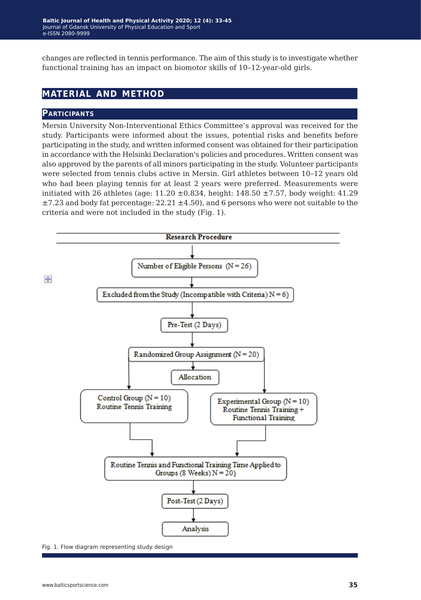changes are reflected in tennis performance. The aim of this study is to investigate whether functional training has an impact on biomotor skills of 10–12-year-old girls.

## **material and method**

#### **Participants**

Mersin University Non-Interventional Ethics Committee's approval was received for the study. Participants were informed about the issues, potential risks and benefits before participating in the study, and written informed consent was obtained for their participation in accordance with the Helsinki Declaration's policies and procedures. Written consent was also approved by the parents of all minors participating in the study. Volunteer participants were selected from tennis clubs active in Mersin. Girl athletes between 10–12 years old who had been playing tennis for at least 2 years were preferred. Measurements were initiated with 26 athletes (age:  $11.20 \pm 0.834$ , height: 148.50  $\pm 7.57$ , body weight: 41.29  $\pm$ 7.23 and body fat percentage: 22.21  $\pm$ 4.50), and 6 persons who were not suitable to the criteria and were not included in the study (Fig. 1).



Fig. 1. Flow diagram representing study design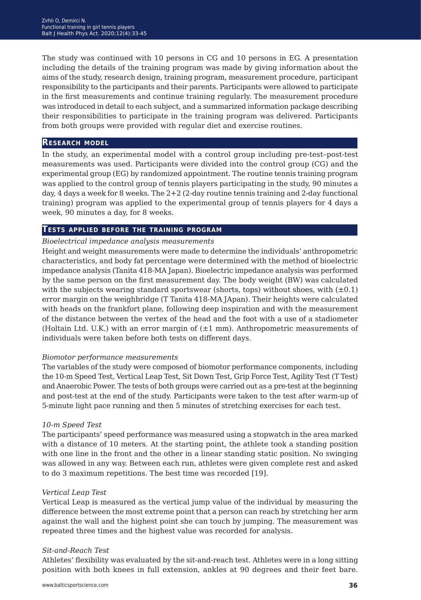The study was continued with 10 persons in CG and 10 persons in EG. A presentation including the details of the training program was made by giving information about the aims of the study, research design, training program, measurement procedure, participant responsibility to the participants and their parents. Participants were allowed to participate in the first measurements and continue training regularly. The measurement procedure was introduced in detail to each subject, and a summarized information package describing their responsibilities to participate in the training program was delivered. Participants from both groups were provided with regular diet and exercise routines.

#### **Research model**

In the study, an experimental model with a control group including pre-test–post-test measurements was used. Participants were divided into the control group (CG) and the experimental group (EG) by randomized appointment. The routine tennis training program was applied to the control group of tennis players participating in the study, 90 minutes a day, 4 days a week for 8 weeks. The 2+2 (2-day routine tennis training and 2-day functional training) program was applied to the experimental group of tennis players for 4 days a week, 90 minutes a day, for 8 weeks.

#### **Tests applied before the training program**

#### *Bioelectrical impedance analysis measurements*

Height and weight measurements were made to determine the individuals' anthropometric characteristics, and body fat percentage were determined with the method of bioelectric impedance analysis (Tanita 418-MA Japan). Bioelectric impedance analysis was performed by the same person on the first measurement day. The body weight (BW) was calculated with the subjects wearing standard sportswear (shorts, tops) without shoes, with  $(\pm 0.1)$ error margin on the weighbridge (T Tanita 418-MA JApan). Their heights were calculated with heads on the frankfort plane, following deep inspiration and with the measurement of the distance between the vertex of the head and the foot with a use of a stadiometer (Holtain Ltd. U.K.) with an error margin of  $(\pm 1 \text{ mm})$ . Anthropometric measurements of individuals were taken before both tests on different days.

#### *Biomotor performance measurements*

The variables of the study were composed of biomotor performance components, including the 10-m Speed Test, Vertical Leap Test, Sit Down Test, Grip Force Test, Agility Test (T Test) and Anaerobic Power. The tests of both groups were carried out as a pre-test at the beginning and post-test at the end of the study. Participants were taken to the test after warm-up of 5-minute light pace running and then 5 minutes of stretching exercises for each test.

#### *10-m Speed Test*

The participants' speed performance was measured using a stopwatch in the area marked with a distance of 10 meters. At the starting point, the athlete took a standing position with one line in the front and the other in a linear standing static position. No swinging was allowed in any way. Between each run, athletes were given complete rest and asked to do 3 maximum repetitions. The best time was recorded [19].

#### *Vertical Leap Test*

Vertical Leap is measured as the vertical jump value of the individual by measuring the difference between the most extreme point that a person can reach by stretching her arm against the wall and the highest point she can touch by jumping. The measurement was repeated three times and the highest value was recorded for analysis.

#### *Sit-and-Reach Test*

Athletes' flexibility was evaluated by the sit-and-reach test. Athletes were in a long sitting position with both knees in full extension, ankles at 90 degrees and their feet bare.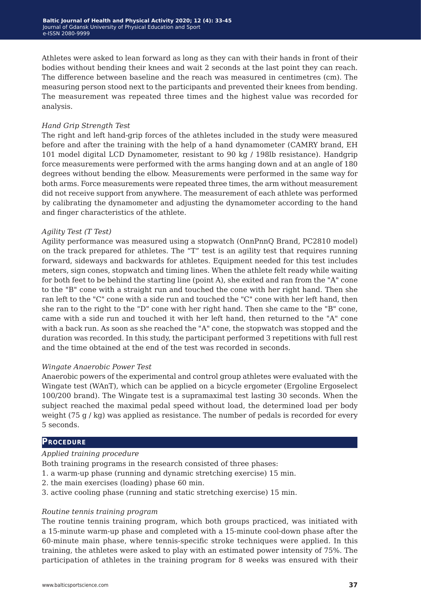Athletes were asked to lean forward as long as they can with their hands in front of their bodies without bending their knees and wait 2 seconds at the last point they can reach. The difference between baseline and the reach was measured in centimetres (cm). The measuring person stood next to the participants and prevented their knees from bending. The measurement was repeated three times and the highest value was recorded for analysis.

### *Hand Grip Strength Test*

The right and left hand-grip forces of the athletes included in the study were measured before and after the training with the help of a hand dynamometer (CAMRY brand, EH 101 model digital LCD Dynamometer, resistant to 90 kg / 198lb resistance). Handgrip force measurements were performed with the arms hanging down and at an angle of 180 degrees without bending the elbow. Measurements were performed in the same way for both arms. Force measurements were repeated three times, the arm without measurement did not receive support from anywhere. The measurement of each athlete was performed by calibrating the dynamometer and adjusting the dynamometer according to the hand and finger characteristics of the athlete.

### *Agility Test (T Test)*

Agility performance was measured using a stopwatch (OnnPnnQ Brand, PC2810 model) on the track prepared for athletes. The "T" test is an agility test that requires running forward, sideways and backwards for athletes. Equipment needed for this test includes meters, sign cones, stopwatch and timing lines. When the athlete felt ready while waiting for both feet to be behind the starting line (point A), she exited and ran from the "A" cone to the "B" cone with a straight run and touched the cone with her right hand. Then she ran left to the "C" cone with a side run and touched the "C" cone with her left hand, then she ran to the right to the "D" cone with her right hand. Then she came to the "B" cone, came with a side run and touched it with her left hand, then returned to the "A" cone with a back run. As soon as she reached the "A" cone, the stopwatch was stopped and the duration was recorded. In this study, the participant performed 3 repetitions with full rest and the time obtained at the end of the test was recorded in seconds.

#### *Wingate Anaerobic Power Test*

Anaerobic powers of the experimental and control group athletes were evaluated with the Wingate test (WAnT), which can be applied on a bicycle ergometer (Ergoline Ergoselect 100/200 brand). The Wingate test is a supramaximal test lasting 30 seconds. When the subject reached the maximal pedal speed without load, the determined load per body weight  $(75 g / kg)$  was applied as resistance. The number of pedals is recorded for every 5 seconds.

## **Procedure**

## *Applied training procedure*

Both training programs in the research consisted of three phases:

- 1. a warm-up phase (running and dynamic stretching exercise) 15 min.
- 2. the main exercises (loading) phase 60 min.
- 3. active cooling phase (running and static stretching exercise) 15 min.

## *Routine tennis training program*

The routine tennis training program, which both groups practiced, was initiated with a 15-minute warm-up phase and completed with a 15-minute cool-down phase after the 60-minute main phase, where tennis-specific stroke techniques were applied. In this training, the athletes were asked to play with an estimated power intensity of 75%. The participation of athletes in the training program for 8 weeks was ensured with their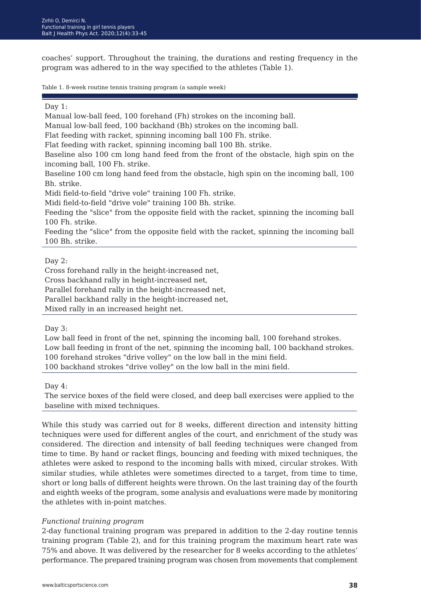coaches' support. Throughout the training, the durations and resting frequency in the program was adhered to in the way specified to the athletes (Table 1).

Table 1. 8-week routine tennis training program (a sample week)

#### Day 1:

Manual low-ball feed, 100 forehand (Fh) strokes on the incoming ball.

Manual low-ball feed, 100 backhand (Bh) strokes on the incoming ball.

Flat feeding with racket, spinning incoming ball 100 Fh. strike.

Flat feeding with racket, spinning incoming ball 100 Bh. strike.

Baseline also 100 cm long hand feed from the front of the obstacle, high spin on the incoming ball, 100 Fh. strike.

Baseline 100 cm long hand feed from the obstacle, high spin on the incoming ball, 100 Bh. strike.

Midi field-to-field "drive vole" training 100 Fh. strike.

Midi field-to-field "drive vole" training 100 Bh. strike.

Feeding the "slice" from the opposite field with the racket, spinning the incoming ball 100 Fh. strike.

Feeding the "slice" from the opposite field with the racket, spinning the incoming ball 100 Bh. strike.

#### Day 2:

Cross forehand rally in the height-increased net,

Cross backhand rally in height-increased net,

Parallel forehand rally in the height-increased net,

Parallel backhand rally in the height-increased net,

Mixed rally in an increased height net.

Day 3:

Low ball feed in front of the net, spinning the incoming ball, 100 forehand strokes. Low ball feeding in front of the net, spinning the incoming ball, 100 backhand strokes. 100 forehand strokes "drive volley" on the low ball in the mini field. 100 backhand strokes "drive volley" on the low ball in the mini field.

Day 4:

The service boxes of the field were closed, and deep ball exercises were applied to the baseline with mixed techniques.

While this study was carried out for 8 weeks, different direction and intensity hitting techniques were used for different angles of the court, and enrichment of the study was considered. The direction and intensity of ball feeding techniques were changed from time to time. By hand or racket flings, bouncing and feeding with mixed techniques, the athletes were asked to respond to the incoming balls with mixed, circular strokes. With similar studies, while athletes were sometimes directed to a target, from time to time, short or long balls of different heights were thrown. On the last training day of the fourth and eighth weeks of the program, some analysis and evaluations were made by monitoring the athletes with in-point matches.

#### *Functional training program*

2-day functional training program was prepared in addition to the 2-day routine tennis training program (Table 2), and for this training program the maximum heart rate was 75% and above. It was delivered by the researcher for 8 weeks according to the athletes' performance. The prepared training program was chosen from movements that complement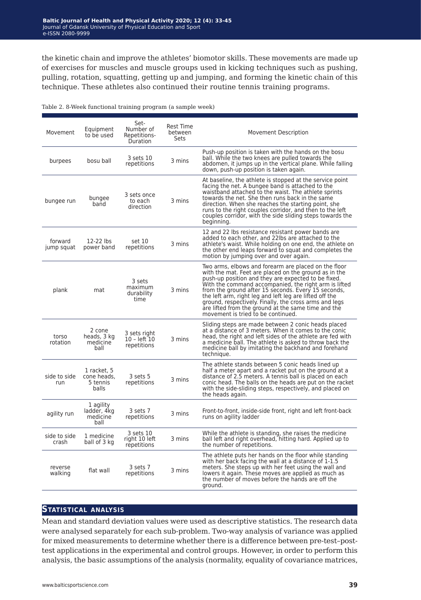the kinetic chain and improve the athletes' biomotor skills. These movements are made up of exercises for muscles and muscle groups used in kicking techniques such as pushing, pulling, rotation, squatting, getting up and jumping, and forming the kinetic chain of this technique. These athletes also continued their routine tennis training programs.

| Movement              | Equipment<br>to be used                         | Set-<br>Number of<br>Repetitions-<br>Duration | <b>Rest Time</b><br>between<br>Sets | <b>Movement Description</b>                                                                                                                                                                                                                                                                                                                                                                                                                                                                            |
|-----------------------|-------------------------------------------------|-----------------------------------------------|-------------------------------------|--------------------------------------------------------------------------------------------------------------------------------------------------------------------------------------------------------------------------------------------------------------------------------------------------------------------------------------------------------------------------------------------------------------------------------------------------------------------------------------------------------|
| burpees               | bosu ball                                       | 3 sets 10<br>repetitions                      | 3 mins                              | Push-up position is taken with the hands on the bosu<br>ball. While the two knees are pulled towards the<br>abdomen, it jumps up in the vertical plane. While falling<br>down, push-up position is taken again.                                                                                                                                                                                                                                                                                        |
| bungee run            | bungee<br>band                                  | 3 sets once<br>to each<br>direction           | 3 mins                              | At baseline, the athlete is stopped at the service point<br>facing the net. A bungee band is attached to the<br>waistband attached to the waist. The athlete sprints<br>towards the net. She then runs back in the same<br>direction. When she reaches the starting point, she<br>runs to the right couples corridor, and then to the left<br>couples corridor, with the side sliding steps towards the<br>beginning.                                                                                  |
| forward<br>jump squat | 12-22 lbs<br>power band                         | set 10<br>repetitions                         | 3 mins                              | 12 and 22 lbs resistance resistant power bands are<br>added to each other, and 22lbs are attached to the<br>athlete's waist. While holding on one end, the athlete on<br>the other end leaps forward to squat and completes the<br>motion by jumping over and over again.                                                                                                                                                                                                                              |
| plank                 | mat                                             | 3 sets<br>maximum<br>durability<br>time       | 3 mins                              | Two arms, elbows and forearm are placed on the floor<br>with the mat. Feet are placed on the ground as in the<br>push-up position and they are expected to be fixed.<br>With the command accompanied, the right arm is lifted<br>from the ground after 15 seconds. Every 15 seconds,<br>the left arm, right leg and left leg are lifted off the<br>ground, respectively. Finally, the cross arms and legs<br>are lifted from the ground at the same time and the<br>movement is tried to be continued. |
| torso<br>rotation     | 2 cone<br>heads, 3 kg<br>medicine<br>ball       | 3 sets right<br>$10 - left 10$<br>repetitions | 3 mins                              | Sliding steps are made between 2 conic heads placed<br>at a distance of 3 meters. When it comes to the conic<br>head, the right and left sides of the athlete are fed with<br>a medicine ball. The athlete is asked to throw back the<br>medicine ball by imitating the backhand and forehand<br>technique.                                                                                                                                                                                            |
| side to side<br>run   | 1 racket. 5<br>cone heads.<br>5 tennis<br>balls | 3 sets 5<br>repetitions                       | 3 mins                              | The athlete stands between 5 conic heads lined up<br>half a meter apart and a racket put on the ground at a<br>distance of 2.5 meters. A tennis ball is placed on each<br>conic head. The balls on the heads are put on the racket<br>with the side-sliding steps, respectively, and placed on<br>the heads again.                                                                                                                                                                                     |
| agility run           | 1 agility<br>ladder, 4kg<br>medicine<br>ball    | 3 sets 7<br>repetitions                       | 3 mins                              | Front-to-front, inside-side front, right and left front-back<br>runs on agility ladder                                                                                                                                                                                                                                                                                                                                                                                                                 |
| side to side<br>crash | 1 medicine<br>ball of 3 kg                      | 3 sets 10<br>right 10 left<br>repetitions     | 3 mins                              | While the athlete is standing, she raises the medicine<br>ball left and right overhead, hitting hard. Applied up to<br>the number of repetitions.                                                                                                                                                                                                                                                                                                                                                      |
| reverse<br>walking    | flat wall                                       | 3 sets 7<br>repetitions                       | 3 mins                              | The athlete puts her hands on the floor while standing<br>with her back facing the wall at a distance of 1-1.5<br>meters. She steps up with her feet using the wall and<br>lowers it again. These moves are applied as much as<br>the number of moves before the hands are off the<br>ground.                                                                                                                                                                                                          |

Table 2. 8-Week functional training program (a sample week)

### **Statistical analysis**

Mean and standard deviation values were used as descriptive statistics. The research data were analysed separately for each sub-problem. Two-way analysis of variance was applied for mixed measurements to determine whether there is a difference between pre-test–posttest applications in the experimental and control groups. However, in order to perform this analysis, the basic assumptions of the analysis (normality, equality of covariance matrices,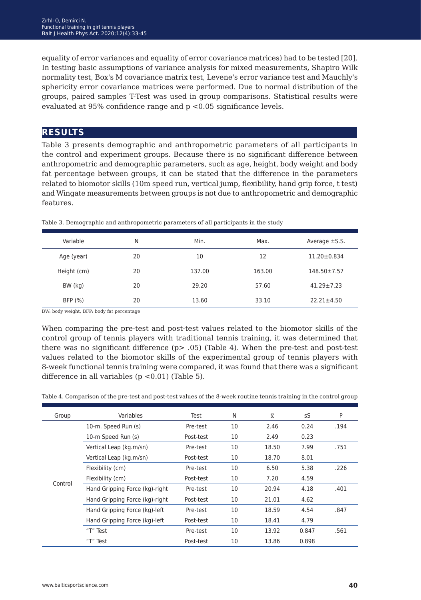equality of error variances and equality of error covariance matrices) had to be tested [20]. In testing basic assumptions of variance analysis for mixed measurements, Shapiro Wilk normality test, Box's M covariance matrix test, Levene's error variance test and Mauchly's sphericity error covariance matrices were performed. Due to normal distribution of the groups, paired samples T-Test was used in group comparisons. Statistical results were evaluated at 95% confidence range and p <0.05 significance levels.

## **results**

Table 3 presents demographic and anthropometric parameters of all participants in the control and experiment groups. Because there is no significant difference between anthropometric and demographic parameters, such as age, height, body weight and body fat percentage between groups, it can be stated that the difference in the parameters related to biomotor skills (10m speed run, vertical jump, flexibility, hand grip force, t test) and Wingate measurements between groups is not due to anthropometric and demographic features.

| Variable    | Ν  | Min.   | Max.   | Average $\pm$ S.S. |
|-------------|----|--------|--------|--------------------|
| Age (year)  | 20 | 10     | 12     | $11.20 \pm 0.834$  |
| Height (cm) | 20 | 137.00 | 163.00 | $148.50 \pm 7.57$  |
| BW (kg)     | 20 | 29.20  | 57.60  | $41.29 \pm 7.23$   |
| BFP (%)     | 20 | 13.60  | 33.10  | $22.21 \pm 4.50$   |

Table 3. Demographic and anthropometric parameters of all participants in the study

BW: body weight, BFP: body fat percentage

When comparing the pre-test and post-test values related to the biomotor skills of the control group of tennis players with traditional tennis training, it was determined that there was no significant difference (p> .05) (Table 4). When the pre-test and post-test values related to the biomotor skills of the experimental group of tennis players with 8-week functional tennis training were compared, it was found that there was a significant difference in all variables  $(p < 0.01)$  (Table 5).

Table 4. Comparison of the pre-test and post-test values of the 8-week routine tennis training in the control group

| Group   | Variables                      | Test      | N  | $\overline{\mathbf{x}}$ | sS    | P    |
|---------|--------------------------------|-----------|----|-------------------------|-------|------|
|         | 10-m. Speed Run (s)            | Pre-test  | 10 | 2.46                    | 0.24  | .194 |
|         | 10-m Speed Run (s)             | Post-test | 10 | 2.49                    | 0.23  |      |
|         | Vertical Leap (kg.m/sn)        | Pre-test  | 10 | 18.50                   | 7.99  | .751 |
|         | Vertical Leap (kg.m/sn)        | Post-test | 10 | 18.70                   | 8.01  |      |
|         | Flexibility (cm)               | Pre-test  | 10 | 6.50                    | 5.38  | .226 |
|         | Flexibility (cm)               | Post-test | 10 | 7.20                    | 4.59  |      |
| Control | Hand Gripping Force (kg)-right | Pre-test  | 10 | 20.94                   | 4.18  | .401 |
|         | Hand Gripping Force (kg)-right | Post-test | 10 | 21.01                   | 4.62  |      |
|         | Hand Gripping Force (kg)-left  | Pre-test  | 10 | 18.59                   | 4.54  | .847 |
|         | Hand Gripping Force (kg)-left  | Post-test | 10 | 18.41                   | 4.79  |      |
|         | "T" Test                       | Pre-test  | 10 | 13.92                   | 0.847 | .561 |
|         | "T" Test                       | Post-test | 10 | 13.86                   | 0.898 |      |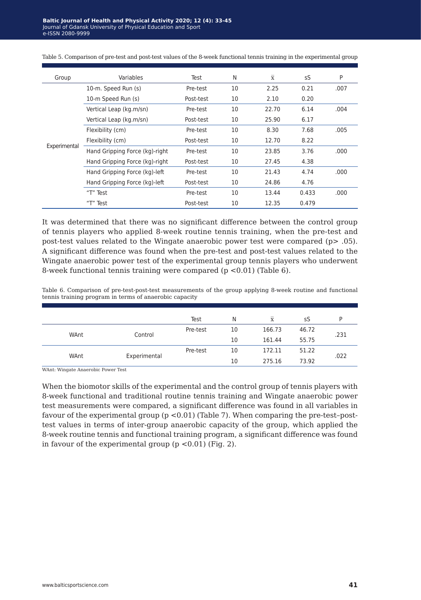| Group        | Variables                      | Test      | N  | $\overline{x}$ | sS    | P     |
|--------------|--------------------------------|-----------|----|----------------|-------|-------|
|              | 10-m. Speed Run (s)            | Pre-test  | 10 | 2.25           | 0.21  | .007  |
|              | 10-m Speed Run (s)             | Post-test | 10 | 2.10           | 0.20  |       |
|              | Vertical Leap (kg.m/sn)        | Pre-test  | 10 | 22.70          | 6.14  | .004  |
| Experimental | Vertical Leap (kg.m/sn)        | Post-test | 10 | 25.90          | 6.17  |       |
|              | Flexibility (cm)               | Pre-test  | 10 | 8.30           | 7.68  | .005  |
|              | Flexibility (cm)               | Post-test | 10 | 12.70          | 8.22  |       |
|              | Hand Gripping Force (kg)-right | Pre-test  | 10 | 23.85          | 3.76  | .000. |
|              | Hand Gripping Force (kg)-right | Post-test | 10 | 27.45          | 4.38  |       |
|              | Hand Gripping Force (kg)-left  | Pre-test  | 10 | 21.43          | 4.74  | .000  |
|              | Hand Gripping Force (kg)-left  | Post-test | 10 | 24.86          | 4.76  |       |
|              | "T" Test                       | Pre-test  | 10 | 13.44          | 0.433 | .000. |
|              | "T" Test                       | Post-test | 10 | 12.35          | 0.479 |       |

Table 5. Comparison of pre-test and post-test values of the 8-week functional tennis training in the experimental group

It was determined that there was no significant difference between the control group of tennis players who applied 8-week routine tennis training, when the pre-test and post-test values related to the Wingate anaerobic power test were compared (p> .05). A significant difference was found when the pre-test and post-test values related to the Wingate anaerobic power test of the experimental group tennis players who underwent 8-week functional tennis training were compared (p <0.01) (Table 6).

Table 6. Comparison of pre-test-post-test measurements of the group applying 8-week routine and functional tennis training program in terms of anaerobic capacity

|      |              | Test     | N  | $\overline{\overline{x}}$ | sS    | D    |
|------|--------------|----------|----|---------------------------|-------|------|
| WAnt | Control      | Pre-test | 10 | 166.73                    | 46.72 | .231 |
|      |              |          | 10 | 161.44                    | 55.75 |      |
| WAnt | Experimental | Pre-test | 10 | 172.11                    | 51.22 | .022 |
|      |              |          | 10 | 275.16                    | 73.92 |      |

WAnt: Wingate Anaerobic Power Test

When the biomotor skills of the experimental and the control group of tennis players with 8-week functional and traditional routine tennis training and Wingate anaerobic power test measurements were compared, a significant difference was found in all variables in favour of the experimental group  $(p < 0.01)$  (Table 7). When comparing the pre-test-posttest values in terms of inter-group anaerobic capacity of the group, which applied the 8-week routine tennis and functional training program, a significant difference was found in favour of the experimental group  $(p < 0.01)$  (Fig. 2).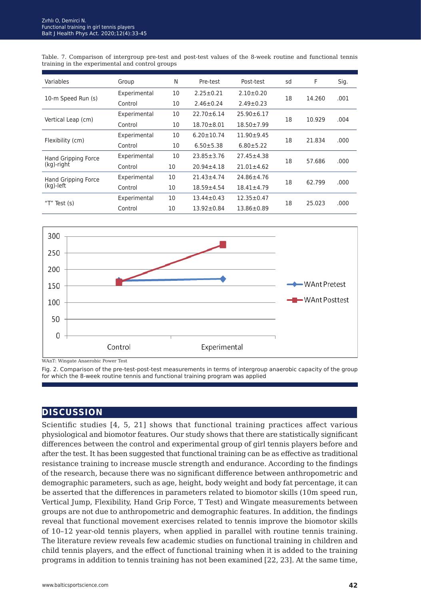Table. 7. Comparison of intergroup pre-test and post-test values of the 8-week routine and functional tennis training in the experimental and control groups

| Variables                         | Group        | N  | Pre-test         | Post-test        | sd | F      | Sig.  |
|-----------------------------------|--------------|----|------------------|------------------|----|--------|-------|
|                                   | Experimental | 10 | $2.25 \pm 0.21$  | $2.10+0.20$      | 18 |        | .001  |
| 10-m Speed Run (s)                | Control      | 10 | $2.46 \pm 0.24$  | $2.49 \pm 0.23$  |    | 14.260 |       |
|                                   | Experimental | 10 | $22.70 \pm 6.14$ | $25.90 \pm 6.17$ | 18 | 10.929 |       |
| Vertical Leap (cm)                | Control      | 10 | $18.70 \pm 8.01$ | $18.50 \pm 7.99$ |    |        | .004  |
|                                   | Experimental | 10 | $6.20 \pm 10.74$ | $11.90 + 9.45$   | 18 | 21.834 | .000  |
| Flexibility (cm)                  | Control      | 10 | $6.50 + 5.38$    | $6.80 \pm 5.22$  |    |        |       |
| Hand Gripping Force<br>(kg)-right | Experimental | 10 | $23.85 \pm 3.76$ | 27.45±4.38       | 18 |        |       |
|                                   | Control      | 10 | $20.94 \pm 4.18$ | $21.01 \pm 4.62$ |    | 57.686 | .000  |
| Hand Gripping Force<br>(kg)-left  | Experimental | 10 | $21.43 \pm 4.74$ | 24.86±4.76       |    | 62.799 | .000. |
|                                   | Control      | 10 | $18.59 + 4.54$   | $18.41 \pm 4.79$ | 18 |        |       |
|                                   | Experimental | 10 | $13.44 \pm 0.43$ | $12.35 \pm 0.47$ | 18 |        | .000. |
| "T"<br>Test $(s)$                 | Control      | 10 | $13.92 \pm 0.84$ | $13.86 \pm 0.89$ |    | 25.023 |       |



WAnT: Wingate Anaerobic Power Test

Fig. 2. Comparison of the pre-test-post-test measurements in terms of intergroup anaerobic capacity of the group for which the 8-week routine tennis and functional training program was applied

## **discussion**

Scientific studies [4, 5, 21] shows that functional training practices affect various physiological and biomotor features. Our study shows that there are statistically significant differences between the control and experimental group of girl tennis players before and after the test. It has been suggested that functional training can be as effective as traditional resistance training to increase muscle strength and endurance. According to the findings of the research, because there was no significant difference between anthropometric and demographic parameters, such as age, height, body weight and body fat percentage, it can be asserted that the differences in parameters related to biomotor skills (10m speed run, Vertical Jump, Flexibility, Hand Grip Force, T Test) and Wingate measurements between groups are not due to anthropometric and demographic features. In addition, the findings reveal that functional movement exercises related to tennis improve the biomotor skills of 10–12 year-old tennis players, when applied in parallel with routine tennis training. The literature review reveals few academic studies on functional training in children and child tennis players, and the effect of functional training when it is added to the training programs in addition to tennis training has not been examined [22, 23]. At the same time,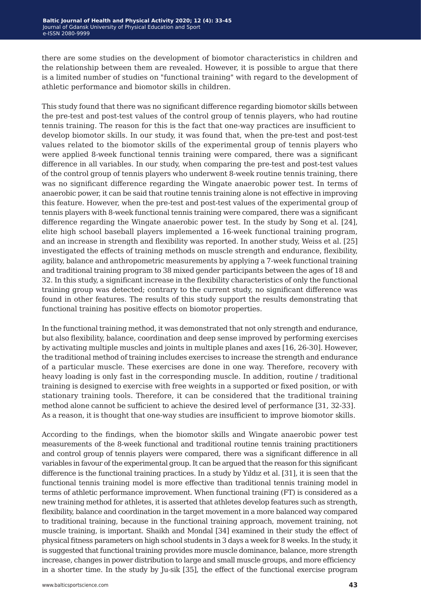there are some studies on the development of biomotor characteristics in children and the relationship between them are revealed. However, it is possible to argue that there is a limited number of studies on "functional training" with regard to the development of athletic performance and biomotor skills in children.

This study found that there was no significant difference regarding biomotor skills between the pre-test and post-test values of the control group of tennis players, who had routine tennis training. The reason for this is the fact that one-way practices are insufficient to develop biomotor skills. In our study, it was found that, when the pre-test and post-test values related to the biomotor skills of the experimental group of tennis players who were applied 8-week functional tennis training were compared, there was a significant difference in all variables. In our study, when comparing the pre-test and post-test values of the control group of tennis players who underwent 8-week routine tennis training, there was no significant difference regarding the Wingate anaerobic power test. In terms of anaerobic power, it can be said that routine tennis training alone is not effective in improving this feature. However, when the pre-test and post-test values of the experimental group of tennis players with 8-week functional tennis training were compared, there was a significant difference regarding the Wingate anaerobic power test. In the study by Song et al. [24], elite high school baseball players implemented a 16-week functional training program, and an increase in strength and flexibility was reported. In another study, Weiss et al. [25] investigated the effects of training methods on muscle strength and endurance, flexibility, agility, balance and anthropometric measurements by applying a 7-week functional training and traditional training program to 38 mixed gender participants between the ages of 18 and 32. In this study, a significant increase in the flexibility characteristics of only the functional training group was detected; contrary to the current study, no significant difference was found in other features. The results of this study support the results demonstrating that functional training has positive effects on biomotor properties.

In the functional training method, it was demonstrated that not only strength and endurance, but also flexibility, balance, coordination and deep sense improved by performing exercises by activating multiple muscles and joints in multiple planes and axes [16, 26-30]. However, the traditional method of training includes exercises to increase the strength and endurance of a particular muscle. These exercises are done in one way. Therefore, recovery with heavy loading is only fast in the corresponding muscle. In addition, routine / traditional training is designed to exercise with free weights in a supported or fixed position, or with stationary training tools. Therefore, it can be considered that the traditional training method alone cannot be sufficient to achieve the desired level of performance [31, 32-33]. As a reason, it is thought that one-way studies are insufficient to improve biomotor skills.

According to the findings, when the biomotor skills and Wingate anaerobic power test measurements of the 8-week functional and traditional routine tennis training practitioners and control group of tennis players were compared, there was a significant difference in all variables in favour of the experimental group. It can be argued that the reason for this significant difference is the functional training practices. In a study by Yıldız et al. [31], it is seen that the functional tennis training model is more effective than traditional tennis training model in terms of athletic performance improvement. When functional training (FT) is considered as a new training method for athletes, it is asserted that athletes develop features such as strength, flexibility, balance and coordination in the target movement in a more balanced way compared to traditional training, because in the functional training approach, movement training, not muscle training, is important. Shaikh and Mondal [34] examined in their study the effect of physical fitness parameters on high school students in 3 days a week for 8 weeks. In the study, it is suggested that functional training provides more muscle dominance, balance, more strength increase, changes in power distribution to large and small muscle groups, and more efficiency in a shorter time. In the study by Ju-sik [35], the effect of the functional exercise program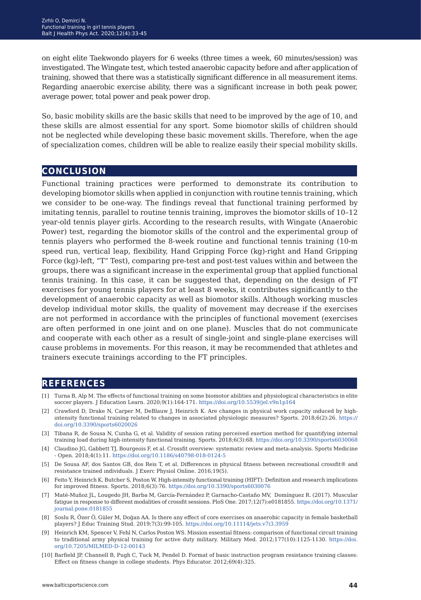on eight elite Taekwondo players for 6 weeks (three times a week, 60 minutes/session) was investigated. The Wingate test, which tested anaerobic capacity before and after application of training, showed that there was a statistically significant difference in all measurement items. Regarding anaerobic exercise ability, there was a significant increase in both peak power, average power, total power and peak power drop.

So, basic mobility skills are the basic skills that need to be improved by the age of 10, and these skills are almost essential for any sport. Some biomotor skills of children should not be neglected while developing these basic movement skills. Therefore, when the age of specialization comes, children will be able to realize easily their special mobility skills.

## **conclusion**

Functional training practices were performed to demonstrate its contribution to developing biomotor skills when applied in conjunction with routine tennis training, which we consider to be one-way. The findings reveal that functional training performed by imitating tennis, parallel to routine tennis training, improves the biomotor skills of 10–12 year-old tennis player girls. According to the research results, with Wingate (Anaerobic Power) test, regarding the biomotor skills of the control and the experimental group of tennis players who performed the 8-week routine and functional tennis training (10-m speed run, vertical leap, flexibility, Hand Gripping Force (kg)-right and Hand Gripping Force (kg)-left, "T" Test), comparing pre-test and post-test values within and between the groups, there was a significant increase in the experimental group that applied functional tennis training. In this case, it can be suggested that, depending on the design of FT exercises for young tennis players for at least 8 weeks, it contributes significantly to the development of anaerobic capacity as well as biomotor skills. Although working muscles develop individual motor skills, the quality of movement may decrease if the exercises are not performed in accordance with the principles of functional movement (exercises are often performed in one joint and on one plane). Muscles that do not communicate and cooperate with each other as a result of single-joint and single-plane exercises will cause problems in movements. For this reason, it may be recommended that athletes and trainers execute trainings according to the FT principles.

## **references**

- [1] Turna B, Alp M. The effects of functional training on some biomotor abilities and physiological characteristics in elite soccer players. J Education Learn. 2020;9(1):164-171. <https://doi.org/10.5539/jel.v9n1p164>
- [2] Crawford D, Drake N, Carper M, DeBlauw J, Heinrich K. Are changes in physical work capacity ınduced by highıntensity functional training related to changes in associated physiologic measures? Sports. 2018;6(2):26. [https://](https://doi.org/10.3390/sports6020026 ) [doi.org/10.3390/sports6020026](https://doi.org/10.3390/sports6020026 )
- [3] Tibana R, de Sousa N, Cunha G, et al. Validity of session rating perceived exertion method for quantifying internal training load during high-intensity functional training. Sports. 2018;6(3):68. <https://doi.org/10.3390/sports6030068>
- [4] Claudino JG, Gabbett TJ, Bourgeois F, et al. Crossfit overview: systematic review and meta-analysis. Sports Medicine - Open. 2018;4(1):11.<https://doi.org/10.1186/s40798-018-0124-5>
- [5] De Sousa AF, dos Santos GB, dos Reis T, et al. Differences in physical fitness between recreational crossfit® and resistance trained ındividuals. J Exerc Physiol Online. 2016;19(5).
- [6] Feito Y, Heinrich K, Butcher S, Poston W. High-intensity functional training (HIFT): Definition and research implications for improved fitness. Sports. 2018;6(3):76.<https://doi.org/10.3390/sports6030076>
- [7] Maté-Muñoz JL, Lougedo JH, Barba M, García-Fernández P, Garnacho-Castaño MV, Domínguez R. (2017). Muscular fatigue in response to different modalities of crossfit sessions. PloS One. 2017;12(7):e0181855. [https://doi.org/10.1371/](https://doi.org/10.1371/journal.pone.0181855 ) [journal.pone.0181855](https://doi.org/10.1371/journal.pone.0181855 )
- [8] Soslu R, Özer Ö, Güler M, Doğan AA. Is there any effect of core exercises on anaerobic capacity in female basketball players? J Educ Training Stud. 2019;7(3):99-105. <https://doi.org/10.11114/jets.v7i3.3959>
- [9] Heinrich KM, Spencer V, Fehl N, Carlos Poston WS. Mission essential fitness: comparison of functional circuit training to traditional army physical training for active duty military. Military Med. 2012;177(10):1125-1130. [https://doi.](https://doi.org/10.7205/MILMED-D-12-00143) [org/10.7205/MILMED-D-12-00143](https://doi.org/10.7205/MILMED-D-12-00143)
- [10] Barfield JP, Channell B, Pugh C, Tuck M, Pendel D. Format of basic instruction program resistance training classes: Effect on fitness change in college students. Phys Educator. 2012;69(4):325.